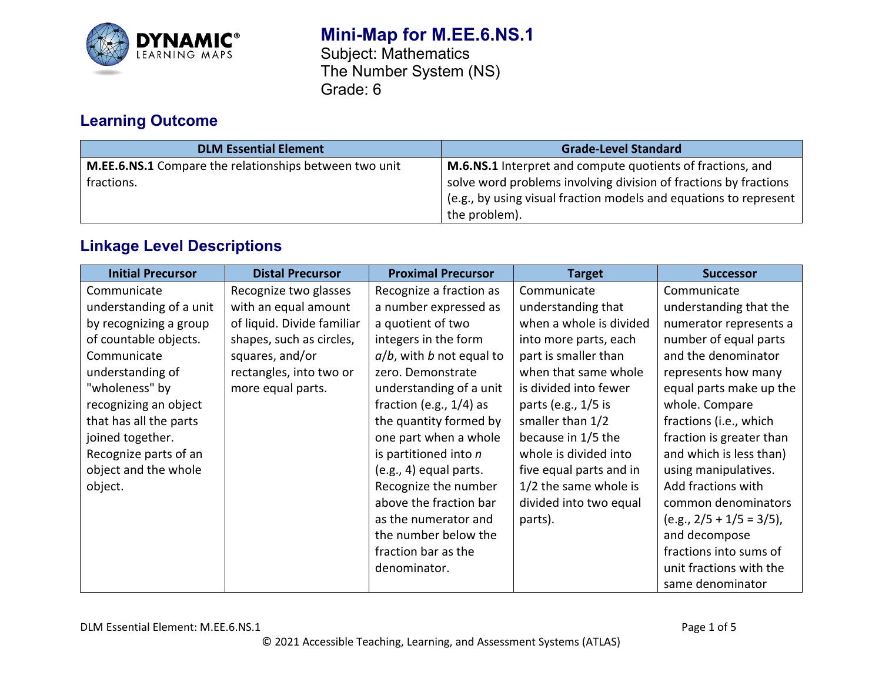

# **Mini-Map for M.EE.6.NS.1** Subject: Mathematics

The Number System (NS) Grade: 6

# **Learning Outcome**

| <b>DLM Essential Element</b>                           | <b>Grade-Level Standard</b>                                       |
|--------------------------------------------------------|-------------------------------------------------------------------|
| M.EE.6.NS.1 Compare the relationships between two unit | <b>M.6.NS.1</b> Interpret and compute quotients of fractions, and |
| fractions.                                             | solve word problems involving division of fractions by fractions  |
|                                                        | (e.g., by using visual fraction models and equations to represent |
|                                                        | the problem).                                                     |

## **Linkage Level Descriptions**

| <b>Initial Precursor</b> | <b>Distal Precursor</b>    | <b>Proximal Precursor</b>   | <b>Target</b>           | <b>Successor</b>           |
|--------------------------|----------------------------|-----------------------------|-------------------------|----------------------------|
| Communicate              | Recognize two glasses      | Recognize a fraction as     | Communicate             | Communicate                |
| understanding of a unit  | with an equal amount       | a number expressed as       | understanding that      | understanding that the     |
| by recognizing a group   | of liquid. Divide familiar | a quotient of two           | when a whole is divided | numerator represents a     |
| of countable objects.    | shapes, such as circles,   | integers in the form        | into more parts, each   | number of equal parts      |
| Communicate              | squares, and/or            | $a/b$ , with b not equal to | part is smaller than    | and the denominator        |
| understanding of         | rectangles, into two or    | zero. Demonstrate           | when that same whole    | represents how many        |
| "wholeness" by           | more equal parts.          | understanding of a unit     | is divided into fewer   | equal parts make up the    |
| recognizing an object    |                            | fraction (e.g., $1/4$ ) as  | parts (e.g., 1/5 is     | whole. Compare             |
| that has all the parts   |                            | the quantity formed by      | smaller than 1/2        | fractions (i.e., which     |
| joined together.         |                            | one part when a whole       | because in 1/5 the      | fraction is greater than   |
| Recognize parts of an    |                            | is partitioned into $n$     | whole is divided into   | and which is less than)    |
| object and the whole     |                            | (e.g., 4) equal parts.      | five equal parts and in | using manipulatives.       |
| object.                  |                            | Recognize the number        | 1/2 the same whole is   | Add fractions with         |
|                          |                            | above the fraction bar      | divided into two equal  | common denominators        |
|                          |                            | as the numerator and        | parts).                 | $(e.g., 2/5 + 1/5 = 3/5),$ |
|                          |                            | the number below the        |                         | and decompose              |
|                          |                            | fraction bar as the         |                         | fractions into sums of     |
|                          |                            | denominator.                |                         | unit fractions with the    |
|                          |                            |                             |                         | same denominator           |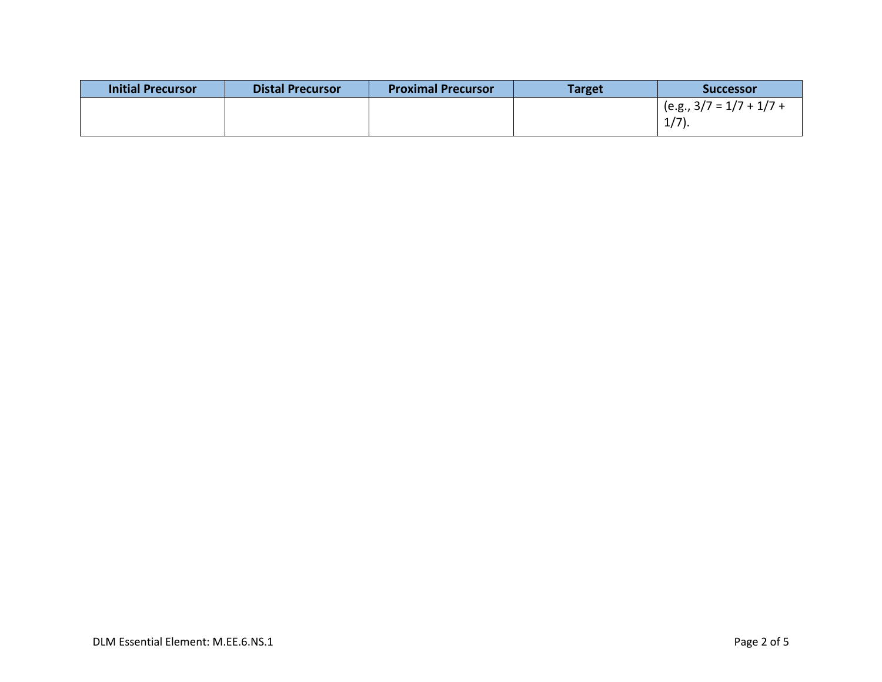| <b>Initial Precursor</b> | <b>Distal Precursor</b> | <b>Proximal Precursor</b> | <b>Target</b> | <b>Successor</b>           |
|--------------------------|-------------------------|---------------------------|---------------|----------------------------|
|                          |                         |                           |               | $(e.g., 3/7 = 1/7 + 1/7 +$ |
|                          |                         |                           |               | $1/7$ ).                   |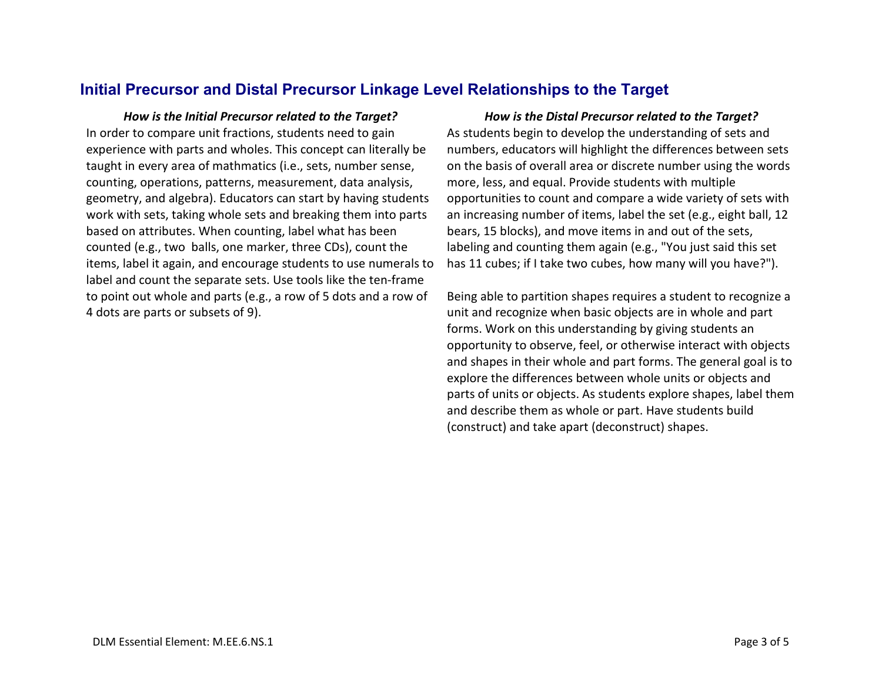#### **Initial Precursor and Distal Precursor Linkage Level Relationships to the Target**

In order to compare unit fractions, students need to gain experience with parts and wholes. This concept can literally be taught in every area of mathmatics (i.e., sets, number sense, counting, operations, patterns, measurement, data analysis, geometry, and algebra). Educators can start by having students work with sets, taking whole sets and breaking them into parts based on attributes. When counting, label what has been counted (e.g., two balls, one marker, three CDs), count the items, label it again, and encourage students to use numerals to label and count the separate sets. Use tools like the ten-frame to point out whole and parts (e.g., a row of 5 dots and a row of 4 dots are parts or subsets of 9).

*How is the Initial Precursor related to the Target? How is the Distal Precursor related to the Target?* As students begin to develop the understanding of sets and numbers, educators will highlight the differences between sets on the basis of overall area or discrete number using the words more, less, and equal. Provide students with multiple opportunities to count and compare a wide variety of sets with an increasing number of items, label the set (e.g., eight ball, 12 bears, 15 blocks), and move items in and out of the sets, labeling and counting them again (e.g., "You just said this set has 11 cubes; if I take two cubes, how many will you have?").

> Being able to partition shapes requires a student to recognize a unit and recognize when basic objects are in whole and part forms. Work on this understanding by giving students an opportunity to observe, feel, or otherwise interact with objects and shapes in their whole and part forms. The general goal is to explore the differences between whole units or objects and parts of units or objects. As students explore shapes, label them and describe them as whole or part. Have students build (construct) and take apart (deconstruct) shapes.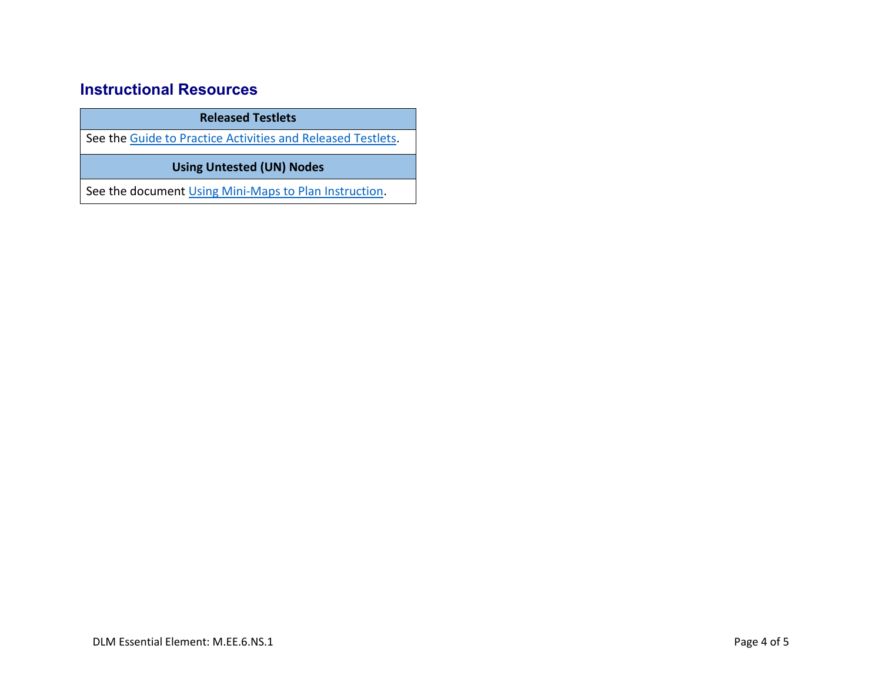## **Instructional Resources**

**Released Testlets**

See the [Guide to Practice Activities and Released Testlets.](https://dynamiclearningmaps.org/sites/default/files/documents/Manuals_Blueprints/Guide_to_Practice_Activities_and_Released_Testlets.pdf)

**Using Untested (UN) Nodes**

See the document [Using Mini-Maps to Plan Instruction.](https://dynamiclearningmaps.org/sites/default/files/documents/Using_Mini_Maps_to_Plan_Instruction.pdf)